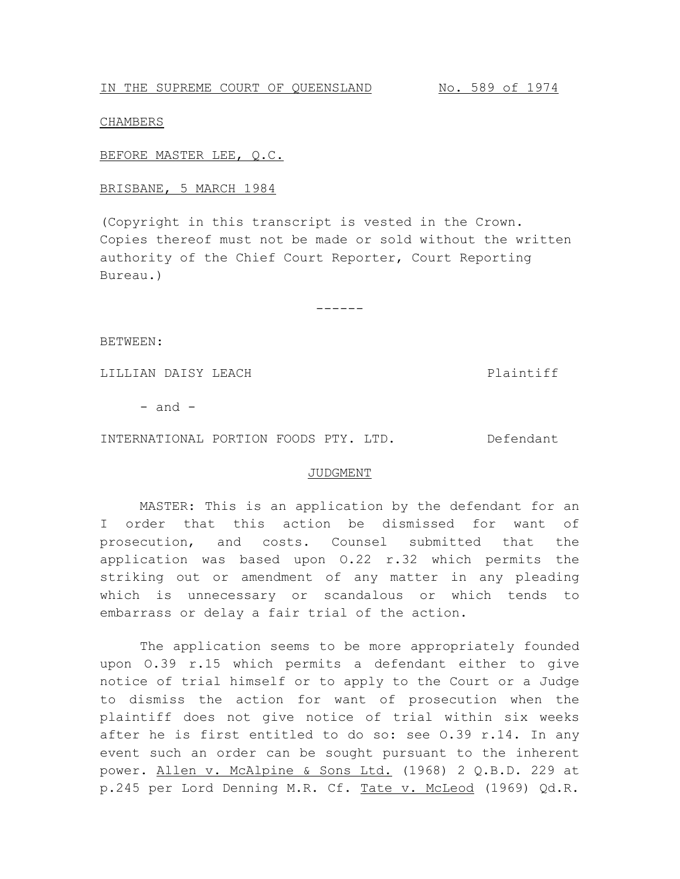## CHAMBERS

BEFORE MASTER LEE, Q.C.

## BRISBANE, 5 MARCH 1984

(Copyright in this transcript is vested in the Crown. Copies thereof must not be made or sold without the written authority of the Chief Court Reporter, Court Reporting Bureau.)

------

BETWEEN:

LILLIAN DAISY LEACH Plaintiff

 $-$  and  $-$ 

INTERNATIONAL PORTION FOODS PTY. LTD. Defendant

## JUDGMENT

MASTER: This is an application by the defendant for an I order that this action be dismissed for want of prosecution, and costs. Counsel submitted that the application was based upon O.22 r.32 which permits the striking out or amendment of any matter in any pleading which is unnecessary or scandalous or which tends to embarrass or delay a fair trial of the action.

The application seems to be more appropriately founded upon O.39 r.15 which permits a defendant either to give notice of trial himself or to apply to the Court or a Judge to dismiss the action for want of prosecution when the plaintiff does not give notice of trial within six weeks after he is first entitled to do so: see O.39 r.14. In any event such an order can be sought pursuant to the inherent power. Allen v. McAlpine & Sons Ltd. (1968) 2 Q.B.D. 229 at p.245 per Lord Denning M.R. Cf. Tate v. McLeod (1969) Qd.R.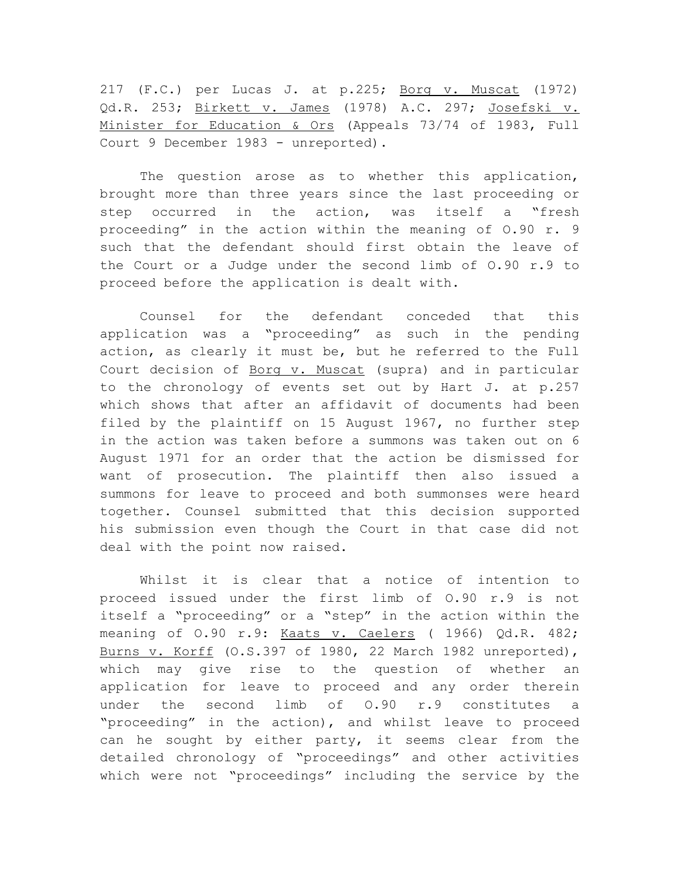217 (F.C.) per Lucas J. at p.225; Borg v. Muscat (1972) Qd.R. 253; Birkett v. James (1978) A.C. 297; Josefski v. Minister for Education & Ors (Appeals 73/74 of 1983, Full Court 9 December 1983 - unreported).

The question arose as to whether this application, brought more than three years since the last proceeding or step occurred in the action, was itself a "fresh proceeding" in the action within the meaning of O.90 r. 9 such that the defendant should first obtain the leave of the Court or a Judge under the second limb of O.90 r.9 to proceed before the application is dealt with.

Counsel for the defendant conceded that this application was a "proceeding" as such in the pending action, as clearly it must be, but he referred to the Full Court decision of Borg v. Muscat (supra) and in particular to the chronology of events set out by Hart J. at p.257 which shows that after an affidavit of documents had been filed by the plaintiff on 15 August 1967, no further step in the action was taken before a summons was taken out on 6 August 1971 for an order that the action be dismissed for want of prosecution. The plaintiff then also issued a summons for leave to proceed and both summonses were heard together. Counsel submitted that this decision supported his submission even though the Court in that case did not deal with the point now raised.

Whilst it is clear that a notice of intention to proceed issued under the first limb of O.90 r.9 is not itself a "proceeding" or a "step" in the action within the meaning of O.90 r.9: Kaats v. Caelers ( 1966) Qd.R. 482; Burns v. Korff (O.S.397 of 1980, 22 March 1982 unreported), which may give rise to the question of whether an application for leave to proceed and any order therein under the second limb of O.90 r.9 constitutes a "proceeding" in the action), and whilst leave to proceed can he sought by either party, it seems clear from the detailed chronology of "proceedings" and other activities which were not "proceedings" including the service by the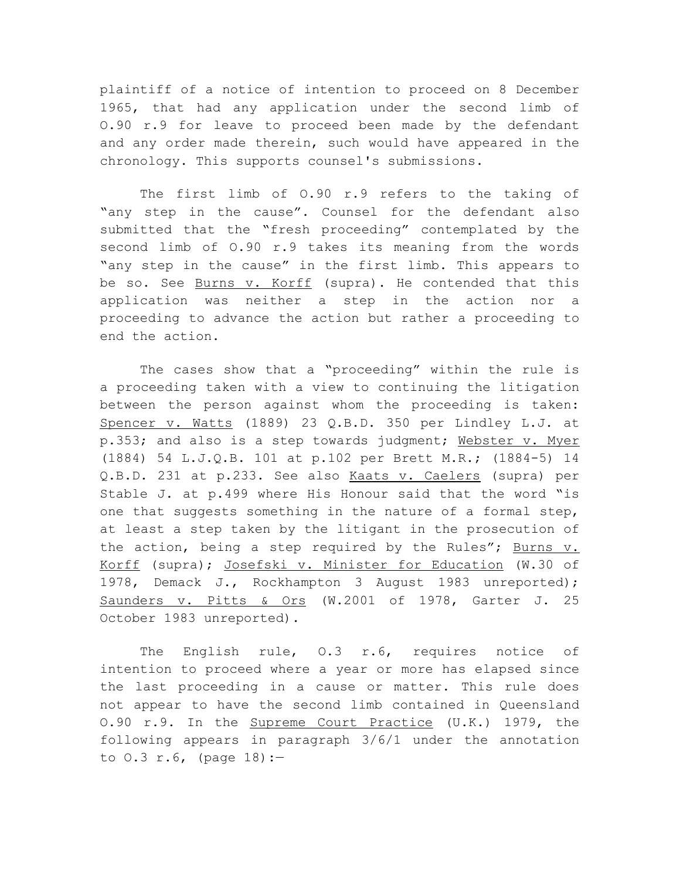plaintiff of a notice of intention to proceed on 8 December 1965, that had any application under the second limb of O.90 r.9 for leave to proceed been made by the defendant and any order made therein, such would have appeared in the chronology. This supports counsel's submissions.

The first limb of O.90 r.9 refers to the taking of "any step in the cause". Counsel for the defendant also submitted that the "fresh proceeding" contemplated by the second limb of O.90 r.9 takes its meaning from the words "any step in the cause" in the first limb. This appears to be so. See Burns v. Korff (supra). He contended that this application was neither a step in the action nor a proceeding to advance the action but rather a proceeding to end the action.

The cases show that a "proceeding" within the rule is a proceeding taken with a view to continuing the litigation between the person against whom the proceeding is taken: Spencer v. Watts (1889) 23 Q.B.D. 350 per Lindley L.J. at p.353; and also is a step towards judgment; Webster v. Myer (1884) 54 L.J.Q.B. 101 at p.102 per Brett M.R.; (1884-5) 14 Q.B.D. 231 at p.233. See also Kaats v. Caelers (supra) per Stable J. at p.499 where His Honour said that the word "is one that suggests something in the nature of a formal step, at least a step taken by the litigant in the prosecution of the action, being a step required by the Rules"; Burns v. Korff (supra); Josefski v. Minister for Education (W.30 of 1978, Demack J., Rockhampton 3 August 1983 unreported); Saunders v. Pitts & Ors (W.2001 of 1978, Garter J. 25 October 1983 unreported).

The English rule, O.3 r.6, requires notice of intention to proceed where a year or more has elapsed since the last proceeding in a cause or matter. This rule does not appear to have the second limb contained in Queensland O.90 r.9. In the Supreme Court Practice (U.K.) 1979, the following appears in paragraph 3/6/1 under the annotation to  $0.3$  r.6, (page  $18$ ):-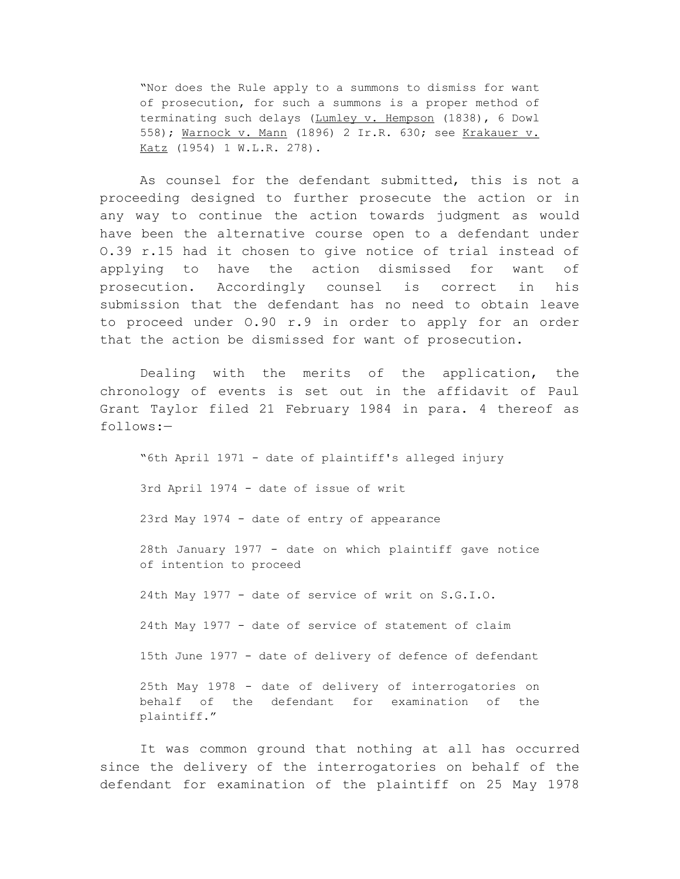"Nor does the Rule apply to a summons to dismiss for want of prosecution, for such a summons is a proper method of terminating such delays (Lumley v. Hempson (1838), 6 Dowl 558); Warnock v. Mann (1896) 2 Ir.R. 630; see Krakauer v. Katz (1954) 1 W.L.R. 278).

As counsel for the defendant submitted, this is not a proceeding designed to further prosecute the action or in any way to continue the action towards judgment as would have been the alternative course open to a defendant under O.39 r.15 had it chosen to give notice of trial instead of applying to have the action dismissed for want of prosecution. Accordingly counsel is correct in his submission that the defendant has no need to obtain leave to proceed under O.90 r.9 in order to apply for an order that the action be dismissed for want of prosecution.

Dealing with the merits of the application, the chronology of events is set out in the affidavit of Paul Grant Taylor filed 21 February 1984 in para. 4 thereof as follows:—

"6th April 1971 - date of plaintiff's alleged injury 3rd April 1974 - date of issue of writ 23rd May 1974 - date of entry of appearance 28th January 1977 - date on which plaintiff gave notice of intention to proceed 24th May 1977 - date of service of writ on S.G.I.O. 24th May 1977 - date of service of statement of claim 15th June 1977 - date of delivery of defence of defendant 25th May 1978 - date of delivery of interrogatories on behalf of the defendant for examination of the plaintiff."

It was common ground that nothing at all has occurred since the delivery of the interrogatories on behalf of the defendant for examination of the plaintiff on 25 May 1978